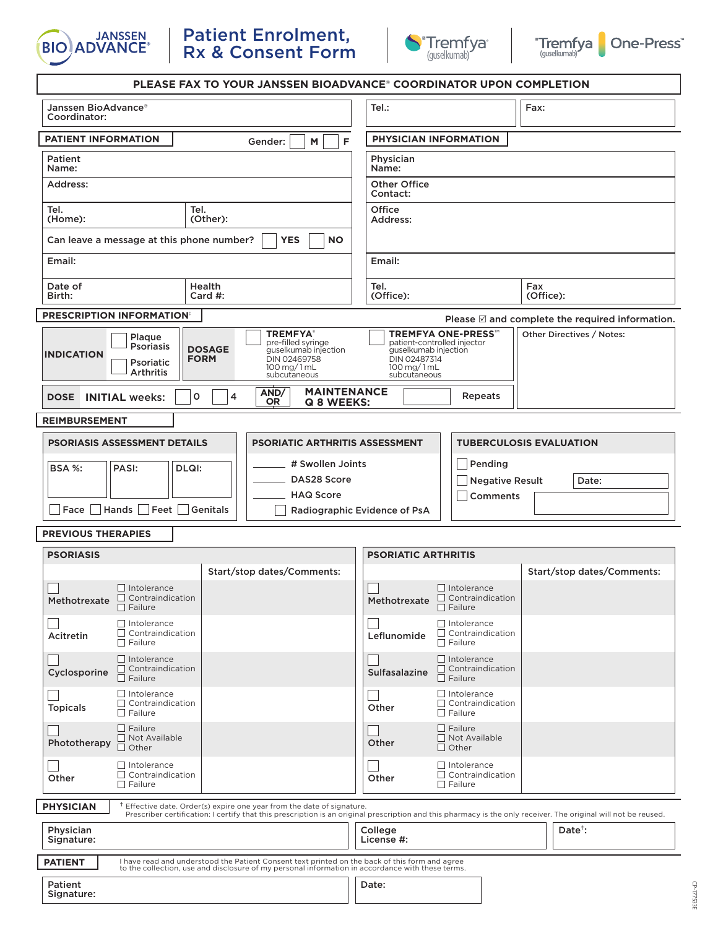





CP-177533E

CP-177533E

| <b>PLEASE FAX TO YOUR JANSSEN BIOADVANCE® COORDINATOR UPON COMPLETION</b>                                                                                                                                                                                 |                                                                                                                                                                                                                |
|-----------------------------------------------------------------------------------------------------------------------------------------------------------------------------------------------------------------------------------------------------------|----------------------------------------------------------------------------------------------------------------------------------------------------------------------------------------------------------------|
| Janssen BioAdvance®<br>Coordinator:                                                                                                                                                                                                                       | Tel.:<br>Fax:                                                                                                                                                                                                  |
| PATIENT INFORMATION<br>F<br>M<br>Gender:                                                                                                                                                                                                                  | PHYSICIAN INFORMATION                                                                                                                                                                                          |
| Patient<br>Name:                                                                                                                                                                                                                                          | Physician<br>Name:                                                                                                                                                                                             |
| Address:                                                                                                                                                                                                                                                  | <b>Other Office</b><br>Contact:                                                                                                                                                                                |
| Tel.<br>Tel.<br>(Home):<br>(Other):                                                                                                                                                                                                                       | Office<br>Address:                                                                                                                                                                                             |
| Can leave a message at this phone number?<br><b>YES</b><br><b>NO</b>                                                                                                                                                                                      |                                                                                                                                                                                                                |
| Email:                                                                                                                                                                                                                                                    | Email:                                                                                                                                                                                                         |
| Date of<br><b>Health</b><br>Birth:<br>Card $#$ :                                                                                                                                                                                                          | Tel.<br>Fax<br>(Office):<br>(Office):                                                                                                                                                                          |
| <b>PRESCRIPTION INFORMATION:</b>                                                                                                                                                                                                                          | Please $\mathbb Z$ and complete the required information.                                                                                                                                                      |
| <b>TREMFYA®</b><br>Plaque<br>pre-filled syringe<br><b>Psoriasis</b><br><b>DOSAGE</b><br>guselkumab injection<br><b>INDICATION</b><br><b>FORM</b><br>DIN 02469758<br>Psoriatic<br>$100 \,\mathrm{mg}/1 \,\mathrm{m}$ L<br><b>Arthritis</b><br>subcutaneous | <b>TREMFYA ONE-PRESS™</b><br>Other Directives / Notes:<br>patient-controlled injector<br>guselkumab injection<br>DIN 02487314<br>$100$ mg/ $1$ mL<br>subcutaneous                                              |
| <b>MAINTENANCE</b><br>AND/<br><b>INITIAL weeks:</b><br><b>DOSE</b><br>o<br>4<br><b>OR</b><br>Q 8 WEEKS:                                                                                                                                                   | Repeats                                                                                                                                                                                                        |
| <b>REIMBURSEMENT</b>                                                                                                                                                                                                                                      |                                                                                                                                                                                                                |
| <b>PSORIASIS ASSESSMENT DETAILS</b><br><b>PSORIATIC ARTHRITIS ASSESSMENT</b>                                                                                                                                                                              | <b>TUBERCULOSIS EVALUATION</b>                                                                                                                                                                                 |
| # Swollen Joints<br><b>BSA %:</b><br>PASI:<br>DLQI:                                                                                                                                                                                                       | Pending                                                                                                                                                                                                        |
| DAS28 Score                                                                                                                                                                                                                                               | <b>Negative Result</b><br>Date:                                                                                                                                                                                |
| <b>HAQ Score</b><br>Hands Feet Genitals<br>Face                                                                                                                                                                                                           | Comments<br>Radiographic Evidence of PsA                                                                                                                                                                       |
| <b>PREVIOUS THERAPIES</b>                                                                                                                                                                                                                                 |                                                                                                                                                                                                                |
| <b>PSORIASIS</b><br><b>PSORIATIC ARTHRITIS</b>                                                                                                                                                                                                            |                                                                                                                                                                                                                |
| Start/stop dates/Comments:                                                                                                                                                                                                                                | Start/stop dates/Comments:                                                                                                                                                                                     |
| $\Box$ Intolerance<br>$\Box$ Contraindication<br>Methotrexate<br>$\Box$ Failure                                                                                                                                                                           | Intolerance<br>Methotrexate Contraindication<br>$\Box$ Failure                                                                                                                                                 |
| $\Box$ Intolerance<br>$\Box$ Contraindication<br>Acitretin<br>$\Box$ Failure                                                                                                                                                                              | $\Box$ Intolerance<br>$\Box$ Contraindication<br>Leflunomide<br>$\Box$ Failure                                                                                                                                 |
|                                                                                                                                                                                                                                                           |                                                                                                                                                                                                                |
| $\Box$ Intolerance<br>$\Box$ Contraindication<br>Cyclosporine<br>$\Box$ Failure                                                                                                                                                                           | $\Box$ Intolerance<br>$\Box$ Contraindication<br>Sulfasalazine<br>$\Box$ Failure                                                                                                                               |
| $\Box$ Intolerance<br>$\Box$ Contraindication<br><b>Topicals</b><br>$\Box$ Failure                                                                                                                                                                        | $\Box$ Intolerance<br>$\Box$ Contraindication<br>Other<br>$\Box$ Failure                                                                                                                                       |
| $\Box$ Failure<br>$\Box$ Not Available<br>Phototherapy<br>□ Other                                                                                                                                                                                         | $\Box$ Failure<br>Not Available<br>Other<br>$\Box$ Other                                                                                                                                                       |
| $\Box$ Intolerance<br>$\Box$ Contraindication<br>Other<br>$\Box$ Failure                                                                                                                                                                                  | $\Box$ Intolerance<br>$\Box$ Contraindication<br>Other<br>$\Box$ Failure                                                                                                                                       |
| <b>PHYSICIAN</b><br><sup>†</sup> Effective date. Order(s) expire one year from the date of signature.                                                                                                                                                     |                                                                                                                                                                                                                |
| Physician<br>Signature:                                                                                                                                                                                                                                   | Prescriber certification: I certify that this prescription is an original prescription and this pharmacy is the only receiver. The original will not be reused.<br>$Date^{\dagger}$ :<br>College<br>License #: |
| I have read and understood the Patient Consent text printed on the back of this form and agree<br><b>PATIENT</b><br>to the collection, use and disclosure of my personal information in accordance with these terms.                                      |                                                                                                                                                                                                                |